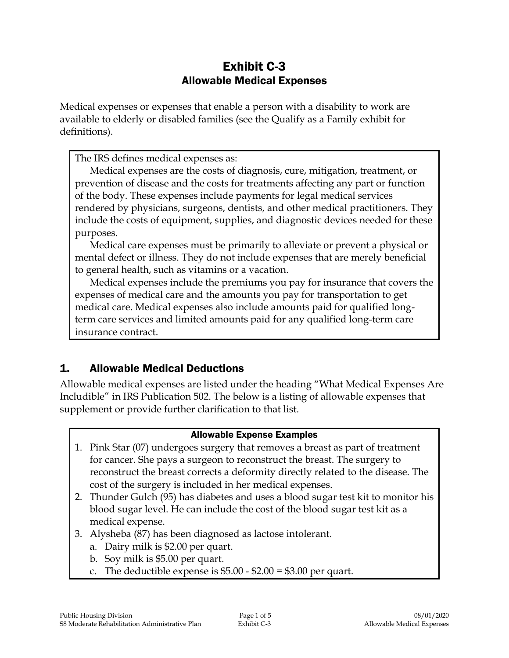# Exhibit C-3 Allowable Medical Expenses

Medical expenses or expenses that enable a person with a disability to work are available to elderly or disabled families (see the Qualify as a Family exhibit for definitions).

The IRS defines medical expenses as:

Medical expenses are the costs of diagnosis, cure, mitigation, treatment, or prevention of disease and the costs for treatments affecting any part or function of the body. These expenses include payments for legal medical services rendered by physicians, surgeons, dentists, and other medical practitioners. They include the costs of equipment, supplies, and diagnostic devices needed for these purposes.

Medical care expenses must be primarily to alleviate or prevent a physical or mental defect or illness. They do not include expenses that are merely beneficial to general health, such as vitamins or a vacation.

Medical expenses include the premiums you pay for insurance that covers the expenses of medical care and the amounts you pay for transportation to get medical care. Medical expenses also include amounts paid for qualified longterm care services and limited amounts paid for any qualified long-term care insurance contract.

# 1. Allowable Medical Deductions

Allowable medical expenses are listed under the heading "What Medical Expenses Are Includible" in IRS Publication 502. The below is a listing of allowable expenses that supplement or provide further clarification to that list.

#### Allowable Expense Examples

- 1. Pink Star (07) undergoes surgery that removes a breast as part of treatment for cancer. She pays a surgeon to reconstruct the breast. The surgery to reconstruct the breast corrects a deformity directly related to the disease. The cost of the surgery is included in her medical expenses.
- 2. Thunder Gulch (95) has diabetes and uses a blood sugar test kit to monitor his blood sugar level. He can include the cost of the blood sugar test kit as a medical expense.
- 3. Alysheba (87) has been diagnosed as lactose intolerant.
	- a. Dairy milk is \$2.00 per quart.
	- b. Soy milk is \$5.00 per quart.
	- c. The deductible expense is  $$5.00 $2.00 = $3.00$  per quart.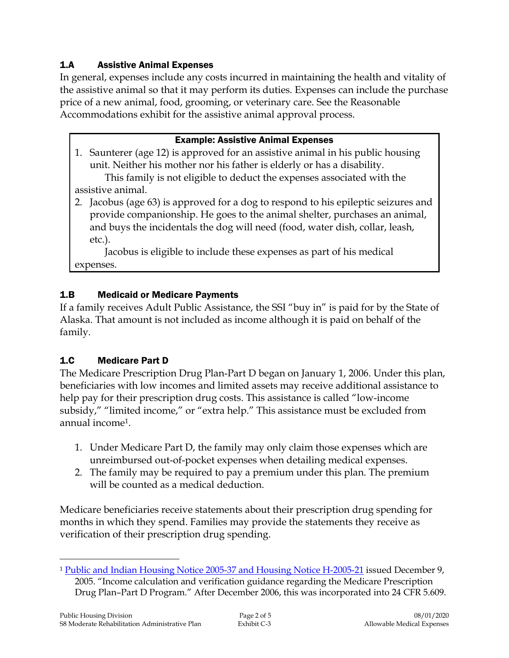### 1.A Assistive Animal Expenses

In general, expenses include any costs incurred in maintaining the health and vitality of the assistive animal so that it may perform its duties. Expenses can include the purchase price of a new animal, food, grooming, or veterinary care. See the Reasonable Accommodations exhibit for the assistive animal approval process.

#### Example: Assistive Animal Expenses

1. Saunterer (age 12) is approved for an assistive animal in his public housing unit. Neither his mother nor his father is elderly or has a disability.

This family is not eligible to deduct the expenses associated with the assistive animal.

2. Jacobus (age 63) is approved for a dog to respond to his epileptic seizures and provide companionship. He goes to the animal shelter, purchases an animal, and buys the incidentals the dog will need (food, water dish, collar, leash, etc.).

Jacobus is eligible to include these expenses as part of his medical expenses.

### 1.B Medicaid or Medicare Payments

If a family receives Adult Public Assistance, the SSI "buy in" is paid for by the State of Alaska. That amount is not included as income although it is paid on behalf of the family.

### 1.C Medicare Part D

The Medicare Prescription Drug Plan-Part D began on January 1, 2006. Under this plan, beneficiaries with low incomes and limited assets may receive additional assistance to help pay for their prescription drug costs. This assistance is called "low-income subsidy," "limited income," or "extra help." This assistance must be excluded from annual income1.

- 1. Under Medicare Part D, the family may only claim those expenses which are unreimbursed out-of-pocket expenses when detailing medical expenses.
- 2. The family may be required to pay a premium under this plan. The premium will be counted as a medical deduction.

Medicare beneficiaries receive statements about their prescription drug spending for months in which they spend. Families may provide the statements they receive as verification of their prescription drug spending.

 $\overline{a}$ 

<sup>&</sup>lt;sup>1</sup> [Public and Indian Housing Notice 2005-37 and Housing Notice H-2005-21](https://intranet/download_file/17909) issued December 9, 2005. "Income calculation and verification guidance regarding the Medicare Prescription Drug Plan–Part D Program." After December 2006, this was incorporated into 24 CFR 5.609.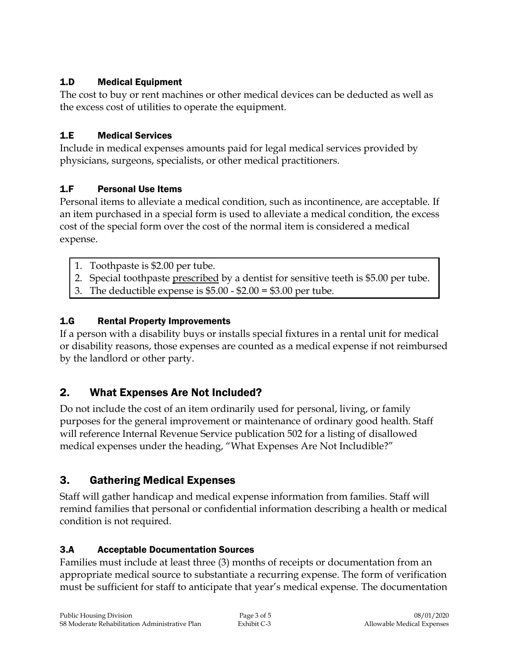### 1.D Medical Equipment

The cost to buy or rent machines or other medical devices can be deducted as well as the excess cost of utilities to operate the equipment.

## 1.E Medical Services

Include in medical expenses amounts paid for legal medical services provided by physicians, surgeons, specialists, or other medical practitioners.

## 1.F Personal Use Items

Personal items to alleviate a medical condition, such as incontinence, are acceptable. If an item purchased in a special form is used to alleviate a medical condition, the excess cost of the special form over the cost of the normal item is considered a medical expense.

- 1. Toothpaste is \$2.00 per tube.
- 2. Special toothpaste prescribed by a dentist for sensitive teeth is \$5.00 per tube.
- 3. The deductible expense is \$5.00 \$2.00 = \$3.00 per tube.

## 1.G Rental Property Improvements

If a person with a disability buys or installs special fixtures in a rental unit for medical or disability reasons, those expenses are counted as a medical expense if not reimbursed by the landlord or other party.

# 2. What Expenses Are Not Included?

Do not include the cost of an item ordinarily used for personal, living, or family purposes for the general improvement or maintenance of ordinary good health. Staff will reference Internal Revenue Service publication 502 for a listing of disallowed medical expenses under the heading, "What Expenses Are Not Includible?"

# 3. Gathering Medical Expenses

Staff will gather handicap and medical expense information from families. Staff will remind families that personal or confidential information describing a health or medical condition is not required.

### 3.A Acceptable Documentation Sources

Families must include at least three (3) months of receipts or documentation from an appropriate medical source to substantiate a recurring expense. The form of verification must be sufficient for staff to anticipate that year's medical expense. The documentation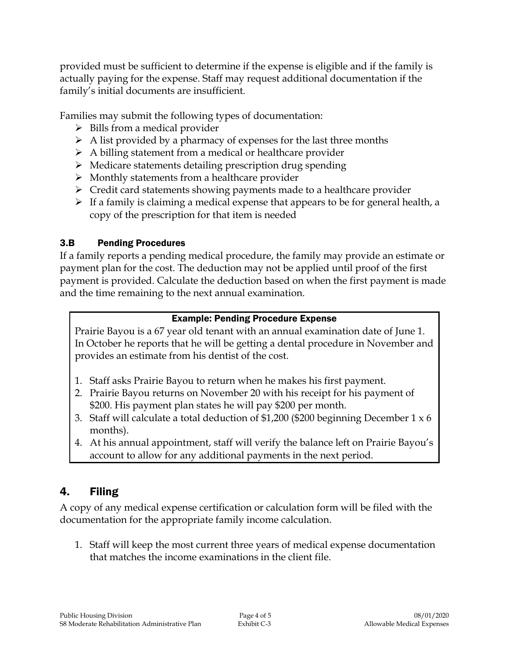provided must be sufficient to determine if the expense is eligible and if the family is actually paying for the expense. Staff may request additional documentation if the family's initial documents are insufficient.

Families may submit the following types of documentation:

- $\triangleright$  Bills from a medical provider
- $\triangleright$  A list provided by a pharmacy of expenses for the last three months
- $\triangleright$  A billing statement from a medical or healthcare provider
- $\triangleright$  Medicare statements detailing prescription drug spending
- $\triangleright$  Monthly statements from a healthcare provider
- $\triangleright$  Credit card statements showing payments made to a healthcare provider
- $\triangleright$  If a family is claiming a medical expense that appears to be for general health, a copy of the prescription for that item is needed

### 3.B Pending Procedures

If a family reports a pending medical procedure, the family may provide an estimate or payment plan for the cost. The deduction may not be applied until proof of the first payment is provided. Calculate the deduction based on when the first payment is made and the time remaining to the next annual examination.

### Example: Pending Procedure Expense

Prairie Bayou is a 67 year old tenant with an annual examination date of June 1. In October he reports that he will be getting a dental procedure in November and provides an estimate from his dentist of the cost.

- 1. Staff asks Prairie Bayou to return when he makes his first payment.
- 2. Prairie Bayou returns on November 20 with his receipt for his payment of \$200. His payment plan states he will pay \$200 per month.
- 3. Staff will calculate a total deduction of \$1,200 (\$200 beginning December 1 x 6 months).
- 4. At his annual appointment, staff will verify the balance left on Prairie Bayou's account to allow for any additional payments in the next period.

# 4. Filing

A copy of any medical expense certification or calculation form will be filed with the documentation for the appropriate family income calculation.

1. Staff will keep the most current three years of medical expense documentation that matches the income examinations in the client file.